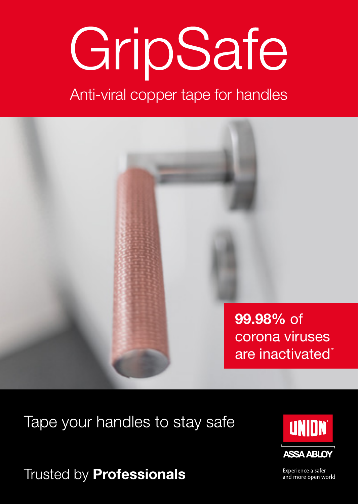# GripSafe

Anti-viral copper tape for handles



Tape your handles to stay safe

Trusted by **Professionals** 



Experience a safer and more open world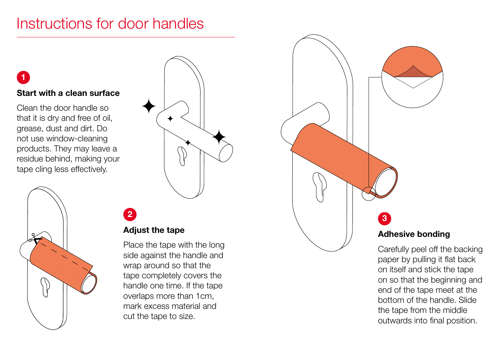## Instructions for door handles

#### **Start with a clean surface**

**1**

Clean the door handle so that it is dry and free of oil, grease, dust and dirt. Do not use window-cleaning products. They may leave a residue behind, making your tape cling less effectively.





## **Adjust the tape**

**2**

Place the tape with the long side against the handle and wrap around so that the tape completely covers the handle one time. If the tape overlaps more than 1cm, mark excess material and cut the tape to size.



Carefully peel off the backing paper by pulling it flat back on itself and stick the tape on so that the beginning and end of the tape meet at the bottom of the handle. Slide the tape from the middle outwards into final position.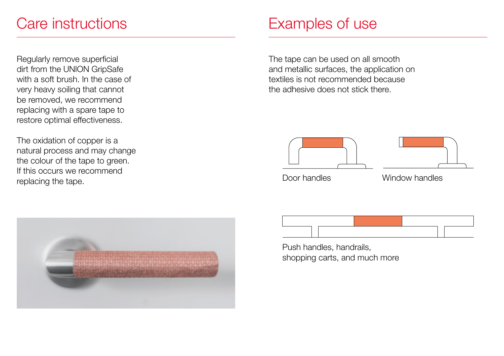## Care instructions

Regularly remove superficial dirt from the UNION GripSafe with a soft brush. In the case of very heavy soiling that cannot be removed, we recommend replacing with a spare tape to restore optimal effectiveness.

The oxidation of copper is a natural process and may change the colour of the tape to green. If this occurs we recommend replacing the tape.



The tape can be used on all smooth and metallic surfaces, the application on textiles is not recommended because the adhesive does not stick there.





Door handles Window handles



Push handles, handrails, shopping carts, and much more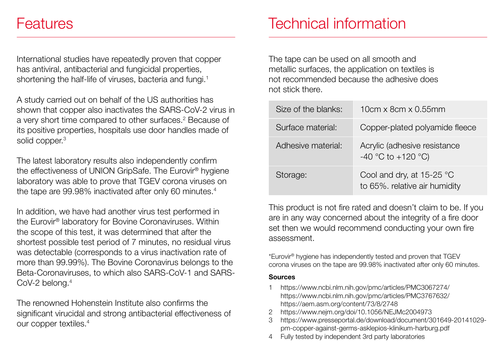## Features

International studies have repeatedly proven that copper has antiviral, antibacterial and fungicidal properties, shortening the half-life of viruses, bacteria and fungi.<sup>1</sup>

A study carried out on behalf of the US authorities has shown that copper also inactivates the SARS-CoV-2 virus in a very short time compared to other surfaces.<sup>2</sup> Because of its positive properties, hospitals use door handles made of solid copper.<sup>3</sup>

The latest laboratory results also independently confirm the effectiveness of UNION GripSafe. The Eurovir® hygiene laboratory was able to prove that TGEV corona viruses on the tape are 99.98% inactivated after only 60 minutes.<sup>4</sup>

In addition, we have had another virus test performed in the Eurovir® laboratory for Bovine Coronaviruses. Within the scope of this test, it was determined that after the shortest possible test period of 7 minutes, no residual virus was detectable (corresponds to a virus inactivation rate of more than 99.99%). The Bovine Coronavirus belongs to the Beta-Coronaviruses, to which also SARS-CoV-1 and SARS-CoV-2 belong.4

The renowned Hohenstein Institute also confirms the significant virucidal and strong antibacterial effectiveness of our copper textiles.4

## Technical information

The tape can be used on all smooth and metallic surfaces, the application on textiles is not recommended because the adhesive does not stick there.

| Size of the blanks: | 10cm x 8cm x 0.55mm                                          |
|---------------------|--------------------------------------------------------------|
| Surface material:   | Copper-plated polyamide fleece                               |
| Adhesiye material:  | Acrylic (adhesive resistance<br>-40 °C to +120 °C)           |
| Storage:            | Cool and dry, at $15-25$ °C<br>to 65%. relative air humidity |

This product is not fire rated and doesn't claim to be. If you are in any way concerned about the integrity of a fire door set then we would recommend conducting your own fire assessment.

\*Eurovir® hygiene has independently tested and proven that TGEV corona viruses on the tape are 99.98% inactivated after only 60 minutes.

#### **Sources**

- 1 https://www.ncbi.nlm.nih.gov/pmc/articles/PMC3067274/ https://www.ncbi.nlm.nih.gov/pmc/articles/PMC3767632/ https://aem.asm.org/content/73/8/2748
- 2 https://www.nejm.org/doi/10.1056/NEJMc2004973
- 3 https://www.presseportal.de/download/document/301649-20141029 pm-copper-against-germs-asklepios-klinikum-harburg.pdf
- 4 Fully tested by independent 3rd party laboratories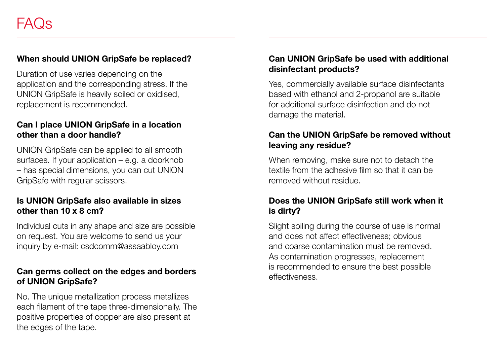#### **When should UNION GripSafe be replaced?**

Duration of use varies depending on the application and the corresponding stress. If the UNION GripSafe is heavily soiled or oxidised, replacement is recommended.

#### **Can I place UNION GripSafe in a location other than a door handle?**

UNION GripSafe can be applied to all smooth surfaces. If your application – e.g. a doorknob – has special dimensions, you can cut UNION GripSafe with regular scissors.

#### **Is UNION GripSafe also available in sizes other than 10 x 8 cm?**

Individual cuts in any shape and size are possible on request. You are welcome to send us your inquiry by e-mail: csdcomm@assaabloy.com

#### **Can germs collect on the edges and borders of UNION GripSafe?**

No. The unique metallization process metallizes each filament of the tape three-dimensionally. The positive properties of copper are also present at the edges of the tape.

### **Can UNION GripSafe be used with additional disinfectant products?**

Yes, commercially available surface disinfectants based with ethanol and 2-propanol are suitable for additional surface disinfection and do not damage the material.

#### **Can the UNION GripSafe be removed without leaving any residue?**

When removing, make sure not to detach the textile from the adhesive film so that it can be removed without residue.

#### **Does the UNION GripSafe still work when it is dirty?**

Slight soiling during the course of use is normal and does not affect effectiveness; obvious and coarse contamination must be removed. As contamination progresses, replacement is recommended to ensure the best possible effectiveness.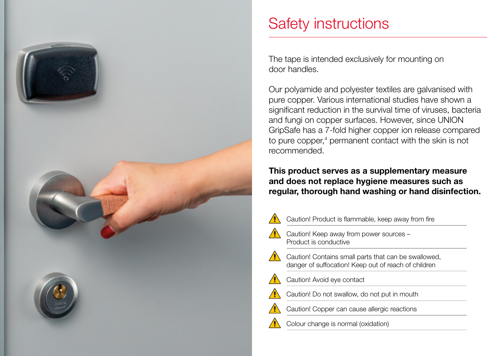

## Safety instructions

The tape is intended exclusively for mounting on door handles.

Our polyamide and polyester textiles are galvanised with pure copper. Various international studies have shown a significant reduction in the survival time of viruses, bacteria and fungi on copper surfaces. However, since UNION GripSafe has a 7-fold higher copper ion release compared to pure copper,<sup>4</sup> permanent contact with the skin is not recommended.

#### **This product serves as a supplementary measure and does not replace hygiene measures such as regular, thorough hand washing or hand disinfection.**



Caution! Product is flammable, keep away from fire

 Caution! Keep away from power sources – Product is conductive

- $\sqrt{\phantom{a}}$  Caution! Contains small parts that can be swallowed. danger of suffocation! Keep out of reach of children
	- Caution! Avoid eye contact
	- Caution! Do not swallow, do not put in mouth
	- Caution! Copper can cause allergic reactions

Colour change is normal (oxidation)